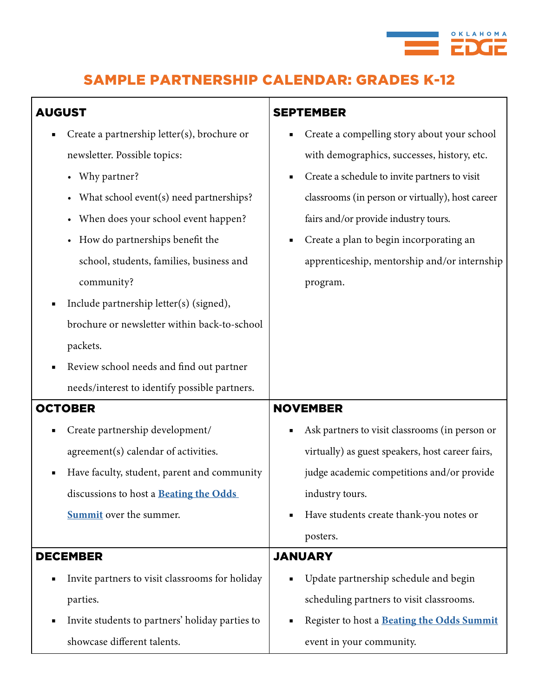

## SAMPLE PARTNERSHIP CALENDAR: GRADES K-12

| <b>AUGUST</b>                                        | <b>SEPTEMBER</b>                                 |
|------------------------------------------------------|--------------------------------------------------|
| Create a partnership letter(s), brochure or          | Create a compelling story about your school      |
| newsletter. Possible topics:                         | with demographics, successes, history, etc.      |
| Why partner?                                         | Create a schedule to invite partners to visit    |
| What school event(s) need partnerships?              | classrooms (in person or virtually), host career |
| When does your school event happen?                  | fairs and/or provide industry tours.             |
| How do partnerships benefit the                      | Create a plan to begin incorporating an          |
| school, students, families, business and             | apprenticeship, mentorship and/or internship     |
| community?                                           | program.                                         |
| Include partnership letter(s) (signed),              |                                                  |
| brochure or newsletter within back-to-school         |                                                  |
| packets.                                             |                                                  |
| Review school needs and find out partner<br>г        |                                                  |
| needs/interest to identify possible partners.        |                                                  |
| <b>OCTOBER</b>                                       | <b>NOVEMBER</b>                                  |
| Create partnership development/                      | Ask partners to visit classrooms (in person or   |
| agreement(s) calendar of activities.                 | virtually) as guest speakers, host career fairs, |
| Have faculty, student, parent and community          | judge academic competitions and/or provide       |
| discussions to host a Beating the Odds               | industry tours.                                  |
| <b>Summit</b> over the summer.                       | Have students create thank-you notes or          |
|                                                      | posters.                                         |
| <b>DECEMBER</b>                                      | <b>JANUARY</b>                                   |
| Invite partners to visit classrooms for holiday<br>п | Update partnership schedule and begin            |
| parties.                                             | scheduling partners to visit classrooms.         |
| Invite students to partners' holiday parties to<br>п | Register to host a Beating the Odds Summit       |
| showcase different talents.                          | event in your community.                         |